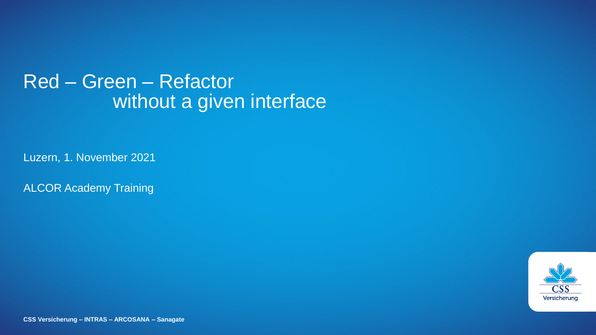# Red – Green – Refactor without a given interface

Luzern, 1. November 2021

ALCOR Academy Training



**CSS Versicherung – INTRAS – ARCOSANA – Sanagate**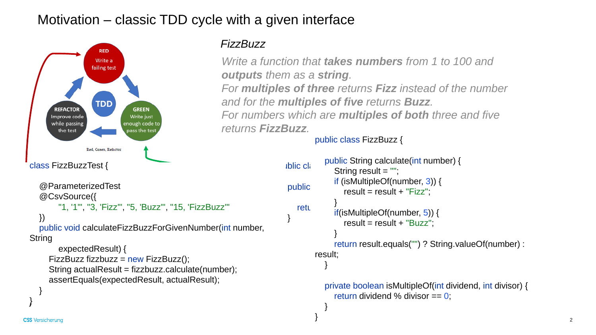# Motivation – classic TDD cycle with a given interface



#### *FizzBuzz*

*Write a function that takes numbers from 1 to 100 and outputs them as a string.*

*For multiples of three returns Fizz instead of the number and for the multiples of five returns Buzz. For numbers which are multiples of both three and five*

*returns FizzBuzz.*

```
public class FizzBuzz {
```

```
Iblic class
public String calculate(int number) {
   relu = \frac{1}{2}}
          public String calculate(int number) {
             String result = "";
             if (isMultipleOf(number, 3)) {
                result = result + "Fizz";}
             if(isMultipleOf(number, 5)) {
                result = result + "Buzz";}
             return result.equals("") ? String.valueOf(number) : 
        result;
           }
          private boolean isMultipleOf(int dividend, int divisor) {
             return dividend % divisor == 0;
           }
        }
```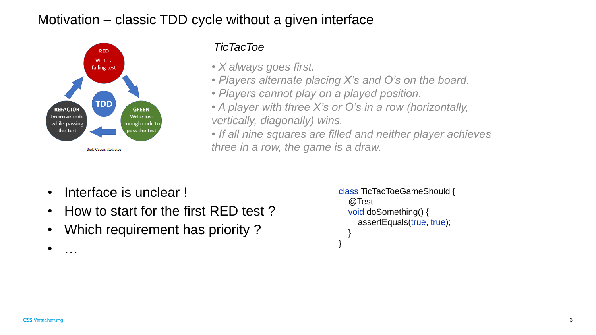# Motivation – classic TDD cycle without a given interface



#### *TicTacToe*

- *X always goes first.*
- *Players alternate placing X's and O's on the board.*
- *Players cannot play on a played position.*
- *A player with three X's or O's in a row (horizontally, vertically, diagonally) wins.*

*• If all nine squares are filled and neither player achieves three in a row, the game is a draw.*

- Interface is unclear !
- How to start for the first RED test ?
- Which requirement has priority ?

```
class TicTacToeGameShould {
  @Test
  void doSomething() {
    assertEquals(true, true);
  }
}
```
• …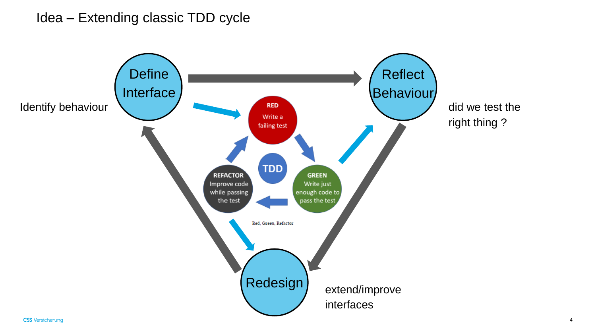### Idea – Extending classic TDD cycle

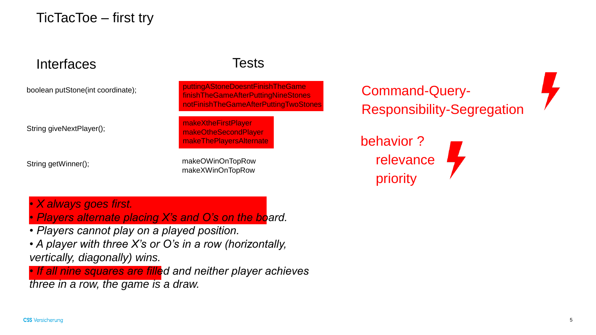TicTacToe – first try

## Interfaces Tests

boolean putStone(int coordinate);

String giveNextPlayer();

String getWinner();

puttingAStoneDoesntFinishTheGame finishTheGameAfterPuttingNineStones notFinishTheGameAfterPuttingTwoStones

makeXtheFirstPlayer makeOtheSecondPlayer makeThePlayersAlternate

makeOWinOnTopRow makeXWinOnTopRow

Command-Query-Responsibility-Segregation

behavior ? relevance priority

*• X always goes first.*

*• Players alternate placing X's and O's on the board.*

- *Players cannot play on a played position.*
- *A player with three X's or O's in a row (horizontally, vertically, diagonally) wins.*

*• If all nine squares are filled and neither player achieves three in a row, the game is a draw.*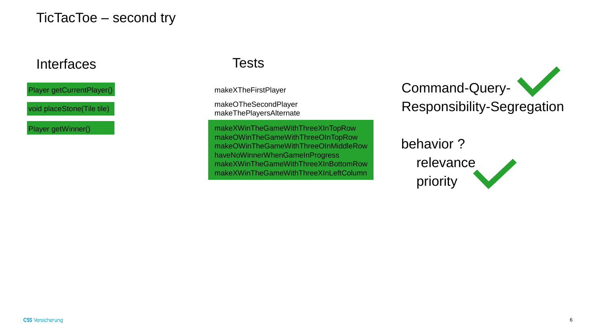TicTacToe – second try

#### Interfaces Tests

Player getCurrentPlayer()

void placeStone(Tile tile)

makeXTheFirstPlayer

makeOTheSecondPlayer makeThePlayersAlternate

Player getWinner() example and the makeXWinTheGameWithThreeXInTopRow makeOWinTheGameWithThreeOInTopRow makeOWinTheGameWithThreeOInMiddleRow haveNoWinnerWhenGameInProgress makeXWinTheGameWithThreeXInBottomRow makeXWinTheGameWithThreeXInLeftColumn

Command-Query-Responsibility-Segregation

#### behavior ?

relevance priority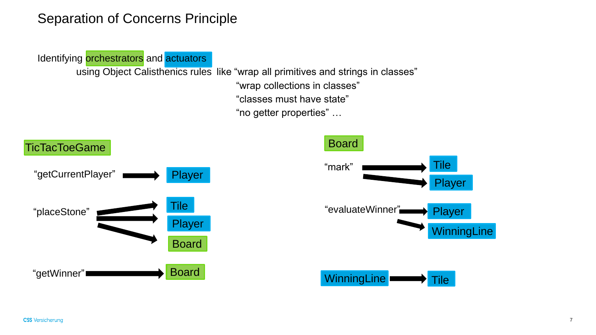### Separation of Concerns Principle